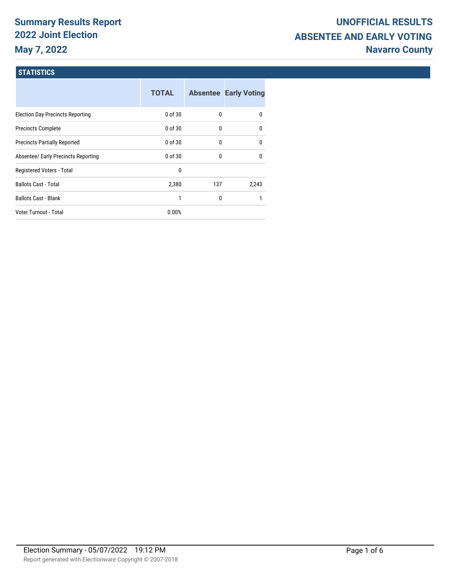# **Summary Results Report 2022 Joint Election May 7, 2022**

### **STATISTICS**

|                                         | <b>TOTAL</b> |     | <b>Absentee Early Voting</b> |
|-----------------------------------------|--------------|-----|------------------------------|
| <b>Election Day Precincts Reporting</b> | $0$ of $30$  | 0   | 0                            |
| <b>Precincts Complete</b>               | $0$ of 30    | 0   | 0                            |
| <b>Precincts Partially Reported</b>     | $0$ of 30    | 0   | 0                            |
| Absentee/ Early Precincts Reporting     | $0$ of 30    | 0   | 0                            |
| Registered Voters - Total               | 0            |     |                              |
| <b>Ballots Cast - Total</b>             | 2,380        | 137 | 2.243                        |
| <b>Ballots Cast - Blank</b>             | 1            | 0   |                              |
| <b>Voter Turnout - Total</b>            | 0.00%        |     |                              |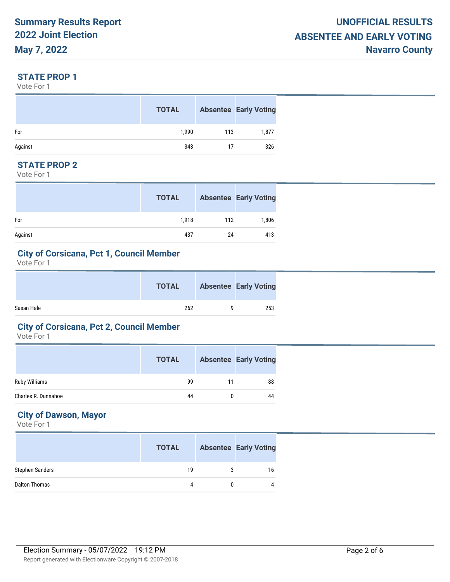#### **STATE PROP 1**

Vote For 1

|         | <b>TOTAL</b> |     | <b>Absentee Early Voting</b> |
|---------|--------------|-----|------------------------------|
| For     | 1,990        | 113 | 1,877                        |
| Against | 343          | 17  | 326                          |

## **STATE PROP 2**

Vote For 1

|         | <b>TOTAL</b> |     | <b>Absentee Early Voting</b> |
|---------|--------------|-----|------------------------------|
| For     | 1.918        | 112 | 1,806                        |
| Against | 437          | 24  | 413                          |

#### **City of Corsicana, Pct 1, Council Member**

Vote For 1

|            | <b>TOTAL</b> | <b>Absentee Early Voting</b> |
|------------|--------------|------------------------------|
| Susan Hale | 262          | 253                          |

#### **City of Corsicana, Pct 2, Council Member**

Vote For 1

|                     | <b>TOTAL</b> |    | <b>Absentee Early Voting</b> |
|---------------------|--------------|----|------------------------------|
| Ruby Williams       | 99           | 11 | 88                           |
| Charles R. Dunnahoe | 44           |    | 44                           |

# **City of Dawson, Mayor**

|                        | <b>TOTAL</b> |   | <b>Absentee Early Voting</b> |
|------------------------|--------------|---|------------------------------|
| <b>Stephen Sanders</b> | 19           | 3 | 16                           |
| Dalton Thomas          | 4            |   |                              |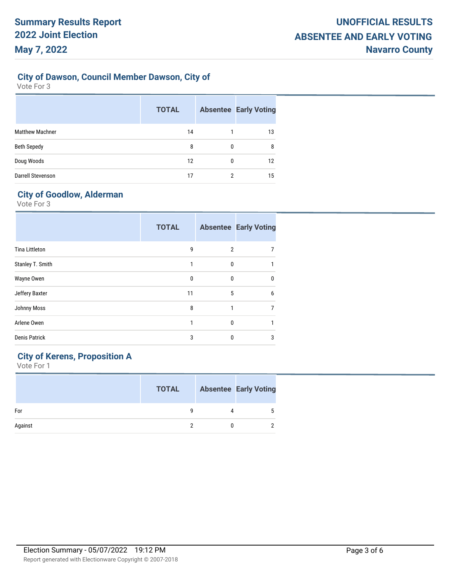## **City of Dawson, Council Member Dawson, City of**

Vote For 3

|                        | <b>TOTAL</b> |   | <b>Absentee Early Voting</b> |
|------------------------|--------------|---|------------------------------|
| <b>Matthew Machner</b> | 14           |   | 13                           |
| <b>Beth Sepedy</b>     | 8            | 0 | 8                            |
| Doug Woods             | 12           | 0 | 12                           |
| Darrell Stevenson      | 17           | 2 | 15                           |

# **City of Goodlow, Alderman**

Vote For 3

|                       | <b>TOTAL</b> |   | <b>Absentee Early Voting</b> |
|-----------------------|--------------|---|------------------------------|
| <b>Tina Littleton</b> | 9            | 2 |                              |
| Stanley T. Smith      | 1            | 0 |                              |
| Wayne Owen            | 0            | 0 | $\mathbf{0}$                 |
| Jeffery Baxter        | 11           | 5 | 6                            |
| Johnny Moss           | 8            |   | 7                            |
| Arlene Owen           |              | 0 |                              |
| <b>Denis Patrick</b>  | 3            | 0 | 3                            |
|                       |              |   |                              |

# **City of Kerens, Proposition A**

|         | <b>TOTAL</b> |   | <b>Absentee Early Voting</b> |
|---------|--------------|---|------------------------------|
| For     |              | 4 |                              |
| Against |              |   |                              |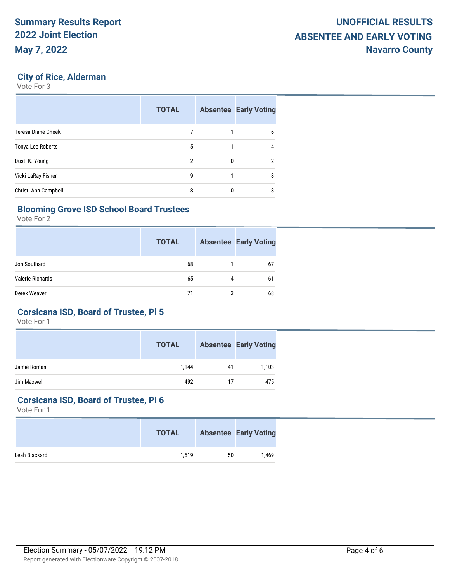#### **City of Rice, Alderman**

Vote For 3

|                      | <b>TOTAL</b> |   | <b>Absentee Early Voting</b> |
|----------------------|--------------|---|------------------------------|
| Teresa Diane Cheek   |              |   | 6                            |
| Tonya Lee Roberts    | 5            |   | 4                            |
| Dusti K. Young       | 2            | 0 | $\overline{2}$               |
| Vicki LaRay Fisher   | 9            |   | 8                            |
| Christi Ann Campbell | 8            | 0 | 8                            |

## **Blooming Grove ISD School Board Trustees**

Vote For 2

|                  | <b>TOTAL</b> |   | <b>Absentee Early Voting</b> |
|------------------|--------------|---|------------------------------|
| Jon Southard     | 68           |   | 67                           |
| Valerie Richards | 65           | 4 | 61                           |
| Derek Weaver     | 71           | 3 | 68                           |

#### **Corsicana ISD, Board of Trustee, Pl 5**

Vote For 1

|             | <b>TOTAL</b> |    | <b>Absentee Early Voting</b> |
|-------------|--------------|----|------------------------------|
| Jamie Roman | 1.144        | 41 | 1,103                        |
| Jim Maxwell | 492          | 17 | 475                          |

#### **Corsicana ISD, Board of Trustee, Pl 6**

|               | <b>TOTAL</b> |    | <b>Absentee Early Voting</b> |
|---------------|--------------|----|------------------------------|
| Leah Blackard | 1.519        | 50 | 1.469                        |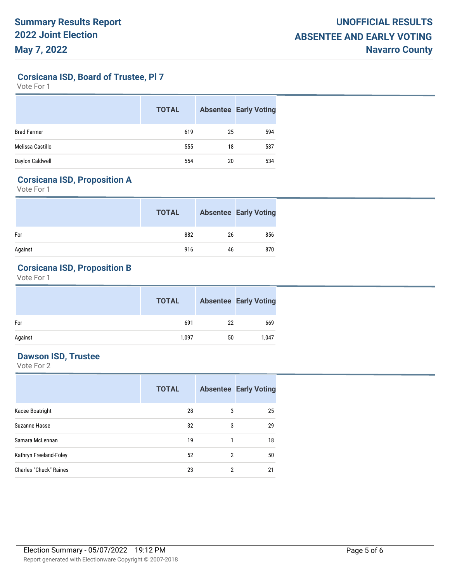**Corsicana ISD, Board of Trustee, Pl 7**

Vote For 1

|                    | <b>TOTAL</b> |    | <b>Absentee Early Voting</b> |
|--------------------|--------------|----|------------------------------|
| <b>Brad Farmer</b> | 619          | 25 | 594                          |
| Melissa Castillo   | 555          | 18 | 537                          |
| Daylon Caldwell    | 554          | 20 | 534                          |

#### **Corsicana ISD, Proposition A**

Vote For 1

|         | <b>TOTAL</b> |    | <b>Absentee Early Voting</b> |
|---------|--------------|----|------------------------------|
| For     | 882          | 26 | 856                          |
| Against | 916          | 46 | 870                          |

# **Corsicana ISD, Proposition B**

Vote For 1

|         | <b>TOTAL</b> |    | <b>Absentee Early Voting</b> |
|---------|--------------|----|------------------------------|
| For     | 691          | 22 | 669                          |
| Against | 1,097        | 50 | 1,047                        |

# **Dawson ISD, Trustee**

|                               | <b>TOTAL</b> |   | <b>Absentee Early Voting</b> |
|-------------------------------|--------------|---|------------------------------|
| Kacee Boatright               | 28           | 3 | 25                           |
| Suzanne Hasse                 | 32           | 3 | 29                           |
| Samara McLennan               | 19           | 1 | 18                           |
| Kathryn Freeland-Foley        | 52           | 2 | 50                           |
| <b>Charles "Chuck" Raines</b> | 23           | 2 | 21                           |